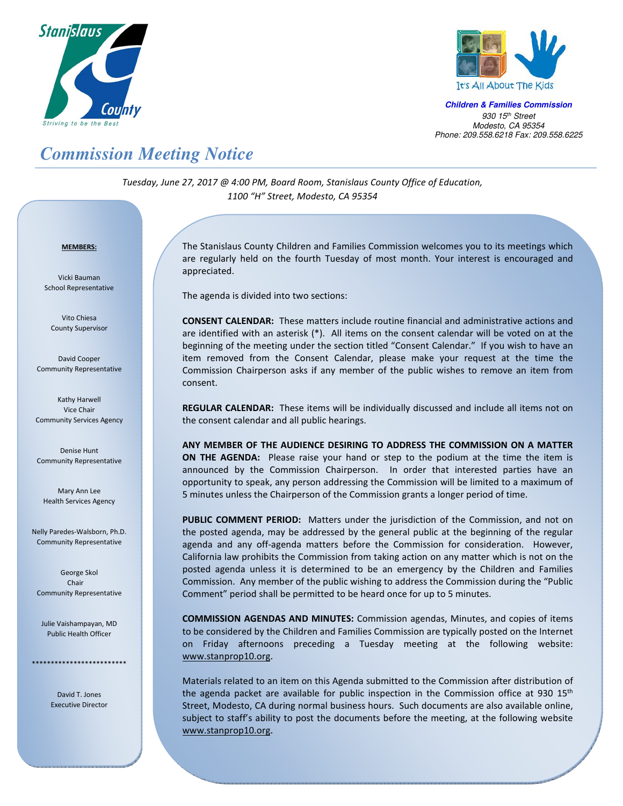



**Children & Families Commission**  *930 15th Street Modesto, CA 95354 Phone: 209.558.6218 Fax: 209.558.6225*

## *Commission Meeting Notice*

*Tuesday, June 27, 2017 @ 4:00 PM, Board Room, Stanislaus County Office of Education, 1100 "H" Street, Modesto, CA 95354*

## <sup>U</sup>**MEMBERS:**

Vicki Bauman School Representative

Vito Chiesa County Supervisor

David Cooper Community Representative

Kathy Harwell Vice Chair Community Services Agency

Denise Hunt Community Representative

Mary Ann Lee Health Services Agency

Nelly Paredes-Walsborn, Ph.D. Community Representative

George Skol Chair Community Representative

Julie Vaishampayan, MD Public Health Officer

\*\*\*\*\*\*\*\*\*\*\*\*\*\*\*\*\*\*\*

David T. Jones Executive Director

The Stanislaus County Children and Families Commission welcomes you to its meetings which are regularly held on the fourth Tuesday of most month. Your interest is encouraged and appreciated.

The agenda is divided into two sections:

**CONSENT CALENDAR:** These matters include routine financial and administrative actions and are identified with an asterisk (\*). All items on the consent calendar will be voted on at the beginning of the meeting under the section titled "Consent Calendar." If you wish to have an item removed from the Consent Calendar, please make your request at the time the Commission Chairperson asks if any member of the public wishes to remove an item from consent.

**REGULAR CALENDAR:** These items will be individually discussed and include all items not on the consent calendar and all public hearings.

**ANY MEMBER OF THE AUDIENCE DESIRING TO ADDRESS THE COMMISSION ON A MATTER ON THE AGENDA:** Please raise your hand or step to the podium at the time the item is announced by the Commission Chairperson. In order that interested parties have an opportunity to speak, any person addressing the Commission will be limited to a maximum of 5 minutes unless the Chairperson of the Commission grants a longer period of time.

**PUBLIC COMMENT PERIOD:** Matters under the jurisdiction of the Commission, and not on the posted agenda, may be addressed by the general public at the beginning of the regular agenda and any off-agenda matters before the Commission for consideration. However, California law prohibits the Commission from taking action on any matter which is not on the posted agenda unless it is determined to be an emergency by the Children and Families Commission. Any member of the public wishing to address the Commission during the "Public Comment" period shall be permitted to be heard once for up to 5 minutes.

**COMMISSION AGENDAS AND MINUTES:** Commission agendas, Minutes, and copies of items to be considered by the Children and Families Commission are typically posted on the Internet on Friday afternoons preceding a Tuesday meeting at the following website: www.stanprop10.org.

Materials related to an item on this Agenda submitted to the Commission after distribution of the agenda packet are available for public inspection in the Commission office at 930  $15<sup>th</sup>$ Street, Modesto, CA during normal business hours. Such documents are also available online, subject to staff's ability to post the documents before the meeting, at the following website www.stanprop10.org.